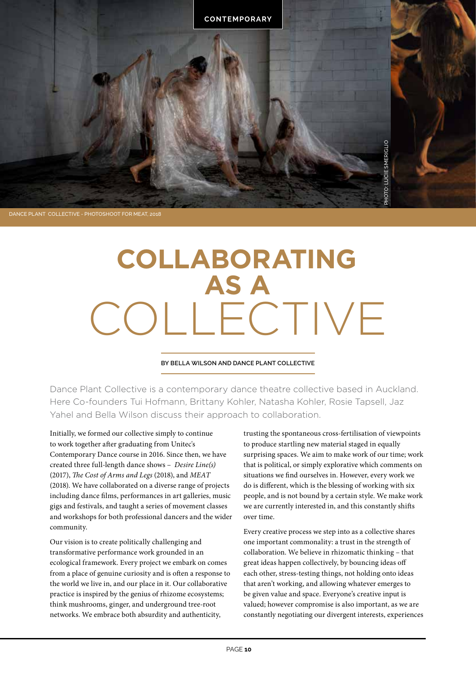

#### DANCE PLANT COLLECTIVE - PHOTOSHOOT FOR MEAT, 2018

# **COLLABORATING** COLLECTIVE **AS A**

#### **BY BELLA WILSON AND DANCE PLANT COLLECTIVE**

Dance Plant Collective is a contemporary dance theatre collective based in Auckland. Here Co-founders Tui Hofmann, Brittany Kohler, Natasha Kohler, Rosie Tapsell, Jaz Yahel and Bella Wilson discuss their approach to collaboration.

Initially, we formed our collective simply to continue to work together after graduating from Unitec's Contemporary Dance course in 2016. Since then, we have created three full-length dance shows – *Desire Line(s)* (2017), *The Cost of Arms and Legs* (2018), and *MEAT* (2018). We have collaborated on a diverse range of projects including dance films, performances in art galleries, music gigs and festivals, and taught a series of movement classes and workshops for both professional dancers and the wider community.

Our vision is to create politically challenging and transformative performance work grounded in an ecological framework. Every project we embark on comes from a place of genuine curiosity and is often a response to the world we live in, and our place in it. Our collaborative practice is inspired by the genius of rhizome ecosystems; think mushrooms, ginger, and underground tree-root networks. We embrace both absurdity and authenticity,

trusting the spontaneous cross-fertilisation of viewpoints to produce startling new material staged in equally surprising spaces. We aim to make work of our time; work that is political, or simply explorative which comments on situations we find ourselves in. However, every work we do is different, which is the blessing of working with six people, and is not bound by a certain style. We make work we are currently interested in, and this constantly shifts over time.

Every creative process we step into as a collective shares one important commonality: a trust in the strength of collaboration. We believe in rhizomatic thinking – that great ideas happen collectively, by bouncing ideas off each other, stress-testing things, not holding onto ideas that aren't working, and allowing whatever emerges to be given value and space. Everyone's creative input is valued; however compromise is also important, as we are constantly negotiating our divergent interests, experiences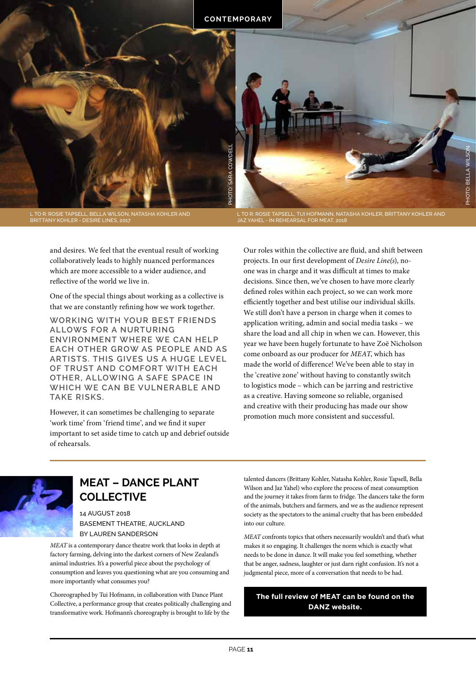

L TO R: ROSIE TAPSELL, BELLA WILSON, NATASHA KOHLER AND BRITTANY KOHLER - DESIRE LINES, 2017

L TO R: ROSIE TAPSELL, TUI HOFMANN, NATASHA KOHLER, BRITTANY KOHLER AND JAZ YAHEL - IN REHEARSAL FOR MEAT, 2018

and desires. We feel that the eventual result of working collaboratively leads to highly nuanced performances which are more accessible to a wider audience, and reflective of the world we live in.

One of the special things about working as a collective is that we are constantly refining how we work together.

**WORKING WITH YOUR BEST FRIENDS ALLOWS FOR A NURTURING ENVIRONMENT WHERE WE CAN HELP EACH OTHER GROW AS PEOPLE AND AS ARTISTS. THIS GIVES US A HUGE LEVEL OF TRUST AND COMFORT WITH EACH OTHER, ALLOWING A SAFE SPACE IN WHICH WE CAN BE VULNERABLE AND TAKE RISKS.**

However, it can sometimes be challenging to separate 'work time' from 'friend time', and we find it super important to set aside time to catch up and debrief outside of rehearsals.

**11** PHOTO: UTOR COMPROMENT CONDUCTOR COMPROMENT CONDUCTOR SARA COMPROMENT SARA COMPROMENT SARA COMPROMENT SARA COMPROMENT SARA COMPROMENT SARA COMPROMENT SARA COMPROMENT SARA COMPROMENT SARA COMPROMENT SARA COMPROMENT SAR Our roles within the collective are fluid, and shift between projects. In our first development of *Desire Line(s*), noone was in charge and it was difficult at times to make decisions. Since then, we've chosen to have more clearly defined roles within each project, so we can work more efficiently together and best utilise our individual skills. We still don't have a person in charge when it comes to application writing, admin and social media tasks – we share the load and all chip in when we can. However, this year we have been hugely fortunate to have Zoë Nicholson come onboard as our producer for *MEAT*, which has made the world of difference! We've been able to stay in the 'creative zone' without having to constantly switch to logistics mode – which can be jarring and restrictive as a creative. Having someone so reliable, organised and creative with their producing has made our show promotion much more consistent and successful.



## **MEAT – DANCE PLANT COLLECTIVE**

14 AUGUST 2018 BASEMENT THEATRE, AUCKLAND BY LAUREN SANDERSON

*MEAT* is a contemporary dance theatre work that looks in depth at factory farming, delving into the darkest corners of New Zealand's animal industries. It's a powerful piece about the psychology of consumption and leaves you questioning what are you consuming and more importantly what consumes you?

Choreographed by Tui Hofmann, in collaboration with Dance Plant Collective, a performance group that creates politically challenging and transformative work. Hofmann's choreography is brought to life by the

talented dancers (Brittany Kohler, Natasha Kohler, Rosie Tapsell, Bella Wilson and Jaz Yahel) who explore the process of meat consumption and the journey it takes from farm to fridge. The dancers take the form of the animals, butchers and farmers, and we as the audience represent society as the spectators to the animal cruelty that has been embedded into our culture.

*MEAT* confronts topics that others necessarily wouldn't and that's what makes it so engaging. It challenges the norm which is exactly what needs to be done in dance. It will make you feel something, whether that be anger, sadness, laughter or just darn right confusion. It's not a judgmental piece, more of a conversation that needs to be had.

### **The full review of MEAT can be found on the DANZ website.**